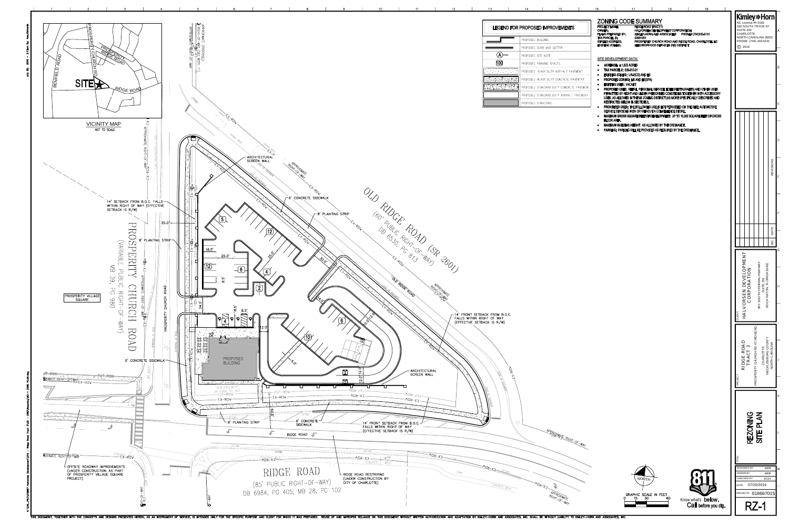

THIS DOCUMENT, TOGETHER WITH THE CONCEPTS AND DESIGNS PRESENTED HEREIN, AS AN INSTRUMENT OF SERVICE, IS INTENDED ONLY FOR THE SPECIFIC PURPOSE AND CLIENT FOR WHICH IT WAS PREPARED. REUSE OF AND IMPROPER RELIANCE ON THIS DO

| 15                                    | 16                                                                                                                                                                             | 17                                                                                | 18                                                                                                                                                                    | 19                   |                                                                                                                                                        |                |
|---------------------------------------|--------------------------------------------------------------------------------------------------------------------------------------------------------------------------------|-----------------------------------------------------------------------------------|-----------------------------------------------------------------------------------------------------------------------------------------------------------------------|----------------------|--------------------------------------------------------------------------------------------------------------------------------------------------------|----------------|
| <b>IPROVEMENTS</b><br>G.<br>ND GUTTER | <b>ZONING CODE SUMMARY</b><br><b>PROJECT NAME:</b><br><b>OWNER:</b><br><b>PLANS PREPARED BY:</b><br><b>TAX PARCEL ID:</b><br><b>STREET ADDRESS:</b><br><b>EXISTING ZONING:</b> | <b>RIDGE ROAD TRACT 3</b><br>02931201                                             | <b>HALVORSEN DEVELOPMENT CORPORATION</b><br>KIMLEY-HORN AND ASSOCIATES<br>PROSPERITY CHURCH ROAD AND RIDGE ROAD, CHARLOTTE, NC<br>NEIGHBORHOOD SERVICES (NS) DISTRICT | PHONE# (704)333-5131 | Kimley»Horn <br>NC License #F-0102<br>200 SOUTH TRYON ST.<br><b>SUITE 200</b><br>CHARLOTTE,<br>NORTH CAROLINA 28202<br>PHONE: (704) 333-5131<br>C 2016 | l A            |
| <b>ITC</b>                            | SITE DEVELOPMENT DATA:                                                                                                                                                         |                                                                                   |                                                                                                                                                                       |                      |                                                                                                                                                        |                |
| G SPACES                              | <b>ACREAGE: ± 1.623 ACRES</b>                                                                                                                                                  |                                                                                   |                                                                                                                                                                       |                      |                                                                                                                                                        | $\overline{B}$ |
| DUTY ASPHALT PAVEMENT                 | <b>TAX PARCEL #: 029-312-01</b>                                                                                                                                                |                                                                                   |                                                                                                                                                                       |                      |                                                                                                                                                        |                |
| DUTY CONCRETE PAVEMENT                |                                                                                                                                                                                | <b>EXISTING ZONING: UR-2(CD) AND NS</b><br><b>PROPOSED ZONING: NS AND NS(SPA)</b> |                                                                                                                                                                       |                      |                                                                                                                                                        |                |
| ARD DUTY CONCRETE PAVEMENT            | <b>EXISTING USES: VACANT</b><br>$\bullet$<br>۰                                                                                                                                 |                                                                                   | <b>PROPOSED USES: RETAIL, PERSONAL SERVICE, EDEE (RESTAURANTS) AND OTHER USES</b>                                                                                     |                      |                                                                                                                                                        |                |
| RD DUTY ASPHALT PAVEMENT              |                                                                                                                                                                                |                                                                                   | PERMITTED BY RIGHT AND UNDER PRESCRIBED CONDITIONS TOGETHER WITH ACCESSORY                                                                                            |                      |                                                                                                                                                        |                |
| URE                                   |                                                                                                                                                                                | <b>RESTRICTED BELOW IN SECTION 2).</b>                                            | USES, AS ALLOWED IN THE NS ZONING DISTRICT (AS MORE SPECIFICALLY DESCRIBED AND                                                                                        |                      |                                                                                                                                                        | $\mathsf{C}$   |
|                                       |                                                                                                                                                                                |                                                                                   | <b>PROHIBITED USES: THE FOLLOWING USE IS NOT PERMITTED ON THE SITE: AUTOMOTIVE</b><br>SERVICE STATIONS WITH OR WITHOUT A CONVENIENCE STORE.                           |                      |                                                                                                                                                        |                |
|                                       | ELOOD ADEA                                                                                                                                                                     |                                                                                   | <b>MAXIMUM GROSS SQUARE FEET OF DEVELOPMENT: UP TO 15,000 SQUARE FEET OF GROSS</b>                                                                                    |                      |                                                                                                                                                        |                |

FLOOR AREA.

• MAXIMUM BUILDING HEIGHT: AS ALLOWED BY THE ORDINANCE. • PARKING: PARKING WILL BE PROVIDED AS REQUIRED BY THE ORDINANCE.

| APPROXIMAJE RIGHT-OF-WAY |  |  |
|--------------------------|--|--|
|                          |  |  |
|                          |  |  |
|                          |  |  |
|                          |  |  |
|                          |  |  |
| SE 3 APPROXIMATE         |  |  |





|  | IOUT LIABILITY TO KIMLEY-HORN AND ASSOCIATES, INC. |  |  |
|--|----------------------------------------------------|--|--|



|                                                                                                             |                                                          |                    |                 |                                  |           |                           | <b>REVISIONS</b>    |   |
|-------------------------------------------------------------------------------------------------------------|----------------------------------------------------------|--------------------|-----------------|----------------------------------|-----------|---------------------------|---------------------|---|
|                                                                                                             |                                                          |                    |                 |                                  |           |                           |                     | F |
|                                                                                                             |                                                          |                    |                 |                                  |           |                           | NO.   DATE          |   |
|                                                                                                             |                                                          |                    |                 |                                  |           |                           |                     | G |
|                                                                                                             |                                                          |                    |                 |                                  |           |                           |                     |   |
| HALVORSEN DEVELOPMENT<br>851 SOUTH FEDERAL HIGHWAY<br>BOCA RATON, FLORIDA 33432<br>CORPORATION<br>SUITE 201 |                                                          |                    |                 |                                  |           |                           |                     |   |
| CLIENT:                                                                                                     |                                                          |                    |                 |                                  |           |                           |                     |   |
| PROJECT:                                                                                                    | RIDGE ROAI                                               | TRACT <sub>3</sub> |                 | PROSPERITY CHURCH RD AT RIDGE RD | CHARLOTTE | <b>MECKLENBURG COUNTY</b> | NORTH CAROLINA      | J |
|                                                                                                             |                                                          |                    |                 |                                  |           |                           |                     | K |
|                                                                                                             |                                                          |                    | <b>REZONING</b> |                                  | SITE PLAN |                           |                     |   |
| TITLE:                                                                                                      | <b>DESIGNED BY:</b><br>DRAWN BY:<br>CHECKED BY:<br>DATE: |                    |                 | 07/25/2016                       |           | ARR<br><b>ARR</b><br>ECH  |                     | M |
|                                                                                                             |                                                          |                    | R/              |                                  |           |                           | PROJECT#: 018667015 |   |